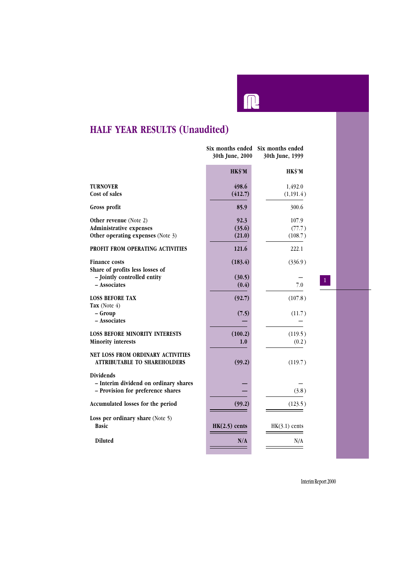

# **HALF YEAR RESULTS (Unaudited)**

|                                                                                                | 30th June, 2000          | Six months ended Six months ended<br>30th June, 1999 |  |
|------------------------------------------------------------------------------------------------|--------------------------|------------------------------------------------------|--|
|                                                                                                | HK\$'M                   | HK\$'M                                               |  |
| <b>TURNOVER</b><br>Cost of sales                                                               | 498.6<br>(412.7)         | 1,492.0<br>(1,191.4)                                 |  |
| Gross profit                                                                                   | 85.9                     | 300.6                                                |  |
| Other revenue (Note 2)<br><b>Administrative expenses</b><br>Other operating expenses (Note 3)  | 92.3<br>(35.6)<br>(21.0) | 107.9<br>(77.7)<br>(108.7)                           |  |
| PROFIT FROM OPERATING ACTIVITIES                                                               | 121.6                    | 222.1                                                |  |
| <b>Finance costs</b><br>Share of profits less losses of<br>- Jointly controlled entity         | (183.4)<br>(30.5)        | (336.9)                                              |  |
| - Associates                                                                                   | (0.4)                    | $\mathbf{1}$<br>7.0                                  |  |
| <b>LOSS BEFORE TAX</b><br>Tax (Note $4$ )                                                      | (92.7)                   | (107.8)                                              |  |
| - Group<br>- Associates                                                                        | (7.5)                    | (11.7)                                               |  |
| <b>LOSS BEFORE MINORITY INTERESTS</b><br><b>Minority interests</b>                             | (100.2)<br>1.0           | (119.5)<br>(0.2)                                     |  |
| NET LOSS FROM ORDINARY ACTIVITIES<br><b>ATTRIBUTABLE TO SHAREHOLDERS</b>                       | (99.2)                   | (119.7)                                              |  |
| <b>Dividends</b><br>- Interim dividend on ordinary shares<br>- Provision for preference shares |                          | (3.8)                                                |  |
| Accumulated losses for the period                                                              | (99.2)                   | (123.5)                                              |  |
| Loss per ordinary share (Note 5)<br><b>Basic</b>                                               | $HK(2.5)$ cents          | $HK(3.1)$ cents                                      |  |
| <b>Diluted</b>                                                                                 | N/A                      | N/A                                                  |  |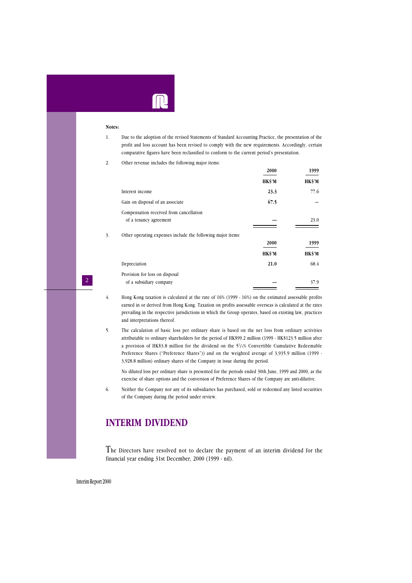

#### **Notes:**

1. Due to the adoption of the revised Statements of Standard Accounting Practice, the presentation of the profit and loss account has been revised to comply with the new requirements. Accordingly, certain comparative figures have been reclassified to conform to the current period's presentation.

2. Other revenue includes the following major items:

|    |                                                             | 2000   | 1999   |
|----|-------------------------------------------------------------|--------|--------|
|    |                                                             | HK\$'M | HK\$'M |
|    | Interest income                                             | 23.3   | 77.6   |
|    | Gain on disposal of an associate                            | 67.5   |        |
|    | Compensation received from cancellation                     |        |        |
|    | of a tenancy agreement                                      |        | 23.0   |
| 3. | Other operating expenses include the following major items: |        |        |
|    |                                                             | 2000   | 1999   |
|    |                                                             | HK\$'M | HK\$'M |
|    | Depreciation                                                | 21.0   | 68.4   |
|    | Provision for loss on disposal                              |        |        |
|    | of a subsidiary company                                     |        | 37.9   |
|    |                                                             |        |        |

4. Hong Kong taxation is calculated at the rate of 16% (1999 - 16%) on the estimated assessable profits earned in or derived from Hong Kong. Taxation on profits assessable overseas is calculated at the rates prevailing in the respective jurisdictions in which the Group operates, based on existing law, practices and interpretations thereof.

5. The calculation of basic loss per ordinary share is based on the net loss from ordinary activities attributable to ordinary shareholders for the period of HK\$99.2 million (1999 - HK\$123.5 million after a provision of HK\$3.8 million for the dividend on the 5<sup>1</sup> /4% Convertible Cumulative Redeemable Preference Shares ("Preference Shares")) and on the weighted average of 3,935.9 million (1999 - 3,928.8 million) ordinary shares of the Company in issue during the period.

No diluted loss per ordinary share is presented for the periods ended 30th June, 1999 and 2000, as the exercise of share options and the conversion of Preference Shares of the Company are anti-dilutive.

6. Neither the Company nor any of its subsidiaries has purchased, sold or redeemed any listed securities of the Company during the period under review.

### **INTERIM DIVIDEND**

The Directors have resolved not to declare the payment of an interim dividend for the financial year ending 31st December, 2000 (1999 - nil).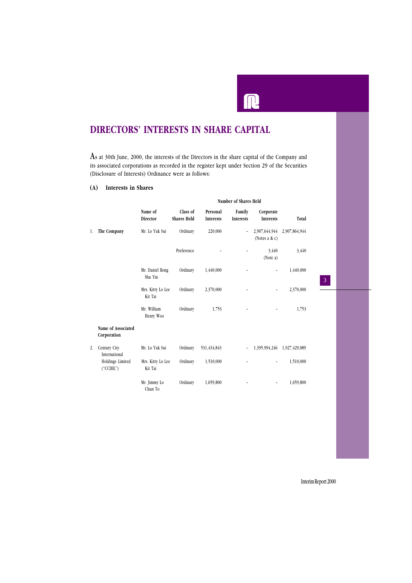# **DIRECTORS' INTERESTS IN SHARE CAPITAL**

As at 30th June, 2000, the interests of the Directors in the share capital of the Company and its associated corporations as recorded in the register kept under Section 29 of the Securities (Disclosure of Interests) Ordinance were as follows:

I

#### **(A) Interests in Shares**

|    |                                              | Number of Shares Held        |                                |                              |                            |                                   |               |
|----|----------------------------------------------|------------------------------|--------------------------------|------------------------------|----------------------------|-----------------------------------|---------------|
|    |                                              | Name of<br>Director          | Class of<br><b>Shares Held</b> | Personal<br><b>Interests</b> | Family<br><b>Interests</b> | Corporate<br><b>Interests</b>     | Total         |
| 1. | The Company                                  | Mr. Lo Yuk Sui               | Ordinary                       | 220,000                      | $\overline{\phantom{a}}$   | 2,907,644,944<br>(Notes a $\& c)$ | 2,907,864,944 |
|    |                                              |                              | Preference                     |                              |                            | 3,440<br>(Note a)                 | 3,440         |
|    |                                              | Mr. Daniel Bong<br>Shu Yin   | Ordinary                       | 1,440,000                    | $\overline{a}$             | $\overline{\phantom{0}}$          | 1,440,000     |
|    |                                              | Mrs. Kitty Lo Lee<br>Kit Tai | Ordinary                       | 2,370,000                    |                            |                                   | 2,370,000     |
|    |                                              | Mr. William<br>Henry Woo     | Ordinary                       | 1,753                        |                            |                                   | 1,753         |
|    | Name of Associated<br>Corporation            |                              |                                |                              |                            |                                   |               |
| 2. | Century City<br>International                | Mr. Lo Yuk Sui               | Ordinary                       | 531,434,843                  | ٠                          | 1,395,994,246                     | 1,927,429,089 |
|    | Holdings Limited<br>$(^{\circ}CCHL^{\circ})$ | Mrs. Kitty Lo Lee<br>Kit Tai | Ordinary                       | 1,510,000                    |                            | $\overline{\phantom{0}}$          | 1,510,000     |
|    |                                              | Mr. Jimmy Lo<br>Chun To      | Ordinary                       | 1,659,800                    |                            | $\overline{a}$                    | 1,659,800     |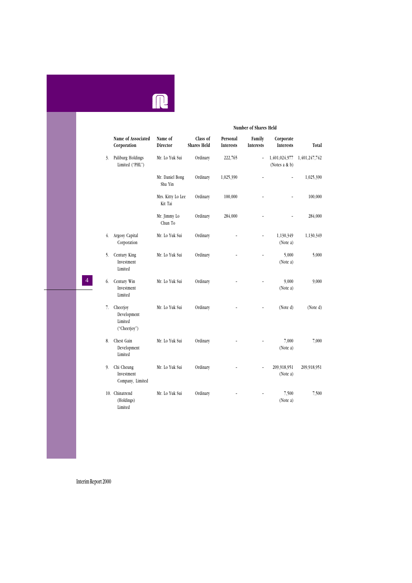

### **Number of Shares Held Name of Associated Name of Class of Personal Family Corporate Corporation Director Shares Held Interests Interests Interests Total** 3. Mr. Lo Yuk Sui Ordinary 222,765 - 1,401,024,977 1,401,247,742 3. Paliburg Holdings Mr. Lo Yuk Sui Ordinary 222,765 -  $1,401,024,977$ <br>Limited ("PHL") (Notes a & b) Mr. Daniel Bong Ordinary 1,025,390 – – 1,025,390 Shu Yin Mrs. Kitty Lo Lee Ordinary 100,000 – – 100,000 Kit Tai Mr. Jimmy Lo Ordinary 284,000 – – 284,000 Chun To 4. Argosy Capital Mr. Lo Yuk Sui Ordinary – – 1,130,349 1,130,349 Corporation (Note a) 5. Century King Mr. Lo Yuk Sui Ordinary – – 5,000 5,000 Investment (Note a) Limited 6. Century Win Mr. Lo Yuk Sui Ordinary – – 9,000 9,000 Investment (Note a) Limited 7. Cheerjoy Mr. Lo Yuk Sui Ordinary – – (Note d) (Note d) Development Limited ("Cheerjoy") 8. Chest Gain Mr. Lo Yuk Sui Ordinary – – 7,000 7,000 Development (Note a) Limited 9. Chi Cheung Mr. Lo Yuk Sui Ordinary – – 209,918,951 209,918,951 Investment (Note a) Company, Limited 10. Chinatrend Mr. Lo Yuk Sui Ordinary – – 7,500 7,500 (Holdings) (Note a) Limited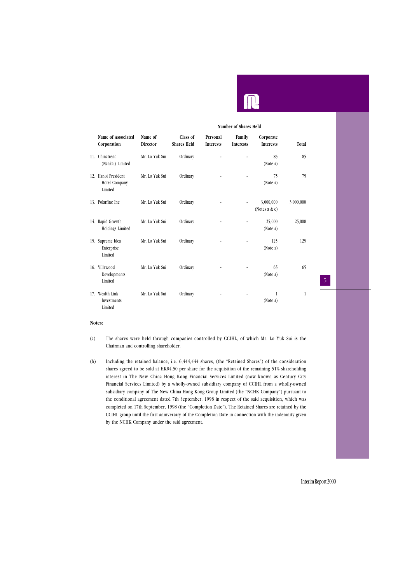|                                                 |                     | Number of Shares Held          |                              |                            |                               |           |
|-------------------------------------------------|---------------------|--------------------------------|------------------------------|----------------------------|-------------------------------|-----------|
| Name of Associated<br>Corporation               | Name of<br>Director | Class of<br><b>Shares Held</b> | Personal<br><b>Interests</b> | Family<br><b>Interests</b> | Corporate<br><b>Interests</b> | Total     |
| 11. Chinatrend<br>(Nankai) Limited              | Mr. Lo Yuk Sui      | Ordinary                       |                              |                            | 85<br>(Note a)                | 85        |
| 12. Hanoi President<br>Hotel Company<br>Limited | Mr. Lo Yuk Sui      | Ordinary                       |                              |                            | 75<br>(Note a)                | 75        |
| 13. Polarfine Inc                               | Mr. Lo Yuk Sui      | Ordinary                       |                              |                            | 3,000,000<br>(Notes a $\&$ e) | 3,000,000 |
| 14. Rapid Growth<br>Holdings Limited            | Mr. Lo Yuk Sui      | Ordinary                       |                              |                            | 25,000<br>(Note a)            | 25,000    |
| 15. Supreme Idea<br>Enterprise<br>Limited       | Mr. Lo Yuk Sui      | Ordinary                       |                              |                            | 125<br>(Note a)               | 125       |
| 16. Villawood<br>Developments<br>Limited        | Mr. Lo Yuk Sui      | Ordinary                       |                              |                            | 65<br>(Note a)                | 65        |
| 17. Wealth Link<br>Investments<br>Limited       | Mr. Lo Yuk Sui      | Ordinary                       |                              |                            | 1<br>(Note a)                 | 1         |

#### **Notes:**

- (a) The shares were held through companies controlled by CCIHL, of which Mr. Lo Yuk Sui is the Chairman and controlling shareholder.
- (b) Including the retained balance, i.e. 6,444,444 shares, (the "Retained Shares") of the consideration shares agreed to be sold at HK\$4.50 per share for the acquisition of the remaining 51% shareholding interest in The New China Hong Kong Financial Services Limited (now known as Century City Financial Services Limited) by a wholly-owned subsidiary company of CCIHL from a wholly-owned subsidiary company of The New China Hong Kong Group Limited (the "NCHK Company") pursuant to the conditional agreement dated 7th September, 1998 in respect of the said acquisition, which was completed on 17th September, 1998 (the "Completion Date"). The Retained Shares are retained by the CCIHL group until the first anniversary of the Completion Date in connection with the indemnity given by the NCHK Company under the said agreement.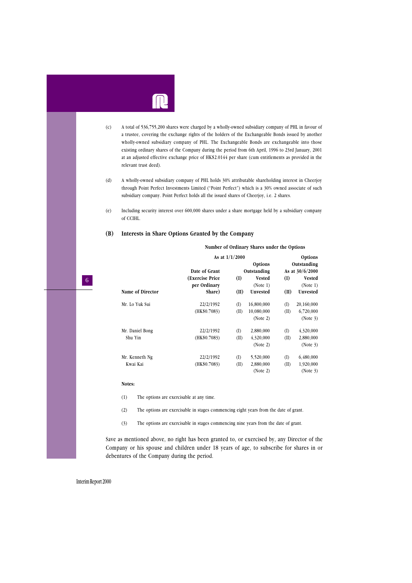

(1) The options are exercisable at any time.

(2) The options are exercisable in stages commencing eight years from the date of grant.

(3) The options are exercisable in stages commencing nine years from the date of grant.

Save as mentioned above, no right has been granted to, or exercised by, any Director of the Company or his spouse and children under 18 years of age, to subscribe for shares in or debentures of the Company during the period.

Interim Report 2000

#### **Number of Ordinary Shares under the Options**

|                         | As at $1/1/2000$ |              |               |              | Options           |  |  |
|-------------------------|------------------|--------------|---------------|--------------|-------------------|--|--|
|                         |                  | Options      |               | Outstanding  |                   |  |  |
|                         | Date of Grant    |              | Outstanding   |              | As at $30/6/2000$ |  |  |
|                         | (Exercise Price  | (I)          | <b>Vested</b> | (I)          | Vested            |  |  |
|                         | per Ordinary     |              | (Note 1)      |              | (Note 1)          |  |  |
| <b>Name of Director</b> | Share)           | (II)         | Unvested      | (II)         | Unvested          |  |  |
| Mr. Lo Yuk Sui          | 22/2/1992        | $($ $($ $)$  | 16,800,000    | $($ $\Gamma$ | 20,160,000        |  |  |
|                         | (HK\$0.7083)     | (II)         | 10,080,000    | (II)         | 6,720,000         |  |  |
|                         |                  |              | (Note 2)      |              | (Note 3)          |  |  |
| Mr. Daniel Bong         | 22/2/1992        | $($ $($ $)$  | 2,880,000     | $($ $\Gamma$ | 4,320,000         |  |  |
| Shu Yin                 | (HK\$0.7083)     | (II)         | 4,320,000     | (II)         | 2,880,000         |  |  |
|                         |                  |              | (Note 2)      |              | (Note 3)          |  |  |
| Mr. Kenneth Ng          | 22/2/1992        | $($ $\Gamma$ | 5,520,000     | $($ $\Gamma$ | 6,480,000         |  |  |
| Kwai Kai                | (HK\$0.7083)     | (II)         | 2,880,000     | (II)         | 1,920,000         |  |  |

(Note 2) (Note 3)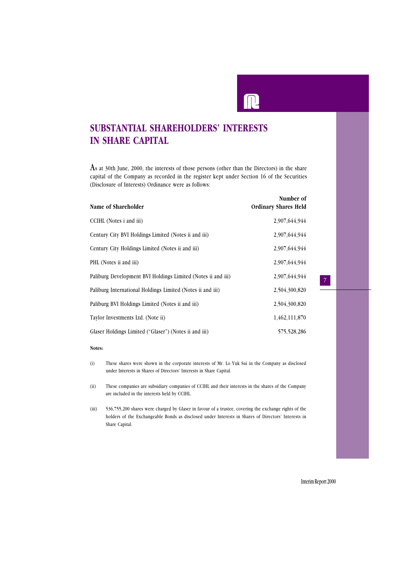# **SUBSTANTIAL SHAREHOLDERS' INTERESTS IN SHARE CAPITAL**

As at 30th June, 2000, the interests of those persons (other than the Directors) in the share capital of the Company as recorded in the register kept under Section 16 of the Securities (Disclosure of Interests) Ordinance were as follows:

| Name of Shareholder                                          | Number of<br><b>Ordinary Shares Held</b> |
|--------------------------------------------------------------|------------------------------------------|
| CCIHL (Notes i and iii)                                      | 2,907,644,944                            |
| Century City BVI Holdings Limited (Notes ii and iii)         | 2,907,644,944                            |
| Century City Holdings Limited (Notes ii and iii)             | 2,907,644,944                            |
| PHL (Notes ii and iii)                                       | 2,907,644,944                            |
| Paliburg Development BVI Holdings Limited (Notes ii and iii) | 2.907.644.944                            |
| Paliburg International Holdings Limited (Notes ii and iii)   | 2,504,300,820                            |
| Paliburg BVI Holdings Limited (Notes ii and iii)             | 2,504,300,820                            |
| Taylor Investments Ltd. (Note ii)                            | 1,462,111,870                            |
| Glaser Holdings Limited ("Glaser") (Notes ii and iii)        | 575,528,286                              |

#### **Notes:**

- (i) These shares were shown in the corporate interests of Mr. Lo Yuk Sui in the Company as disclosed under Interests in Shares of Directors' Interests in Share Capital.
- (ii) These companies are subsidiary companies of CCIHL and their interests in the shares of the Company are included in the interests held by CCIHL.
- (iii) 536,755,200 shares were charged by Glaser in favour of a trustee, covering the exchange rights of the holders of the Exchangeable Bonds as disclosed under Interests in Shares of Directors' Interests in Share Capital.

Interim Report 2000

 $\overline{a}$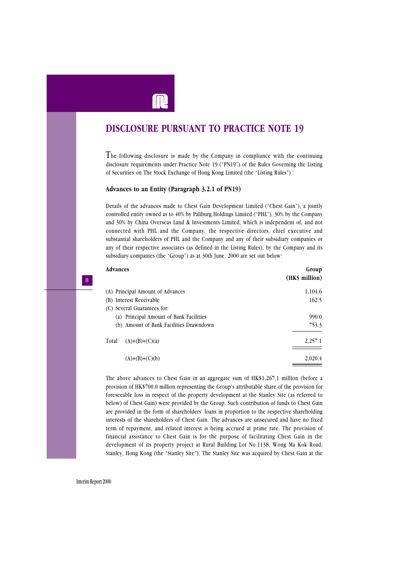

# **DISCLOSURE PURSUANT TO PRACTICE NOTE 19**

The following disclosure is made by the Company in compliance with the continuing disclosure requirements under Practice Note 19 ("PN19") of the Rules Governing the Listing of Securities on The Stock Exchange of Hong Kong Limited (the "Listing Rules") :

#### **Advances to an Entity (Paragraph 3.2.1 of PN19)**

Details of the advances made to Chest Gain Development Limited ("Chest Gain"), a jointly controlled entity owned as to 40% by Paliburg Holdings Limited ("PHL"), 30% by the Company and 30% by China Overseas Land & Investments Limited, which is independent of, and not connected with PHL and the Company, the respective directors, chief executive and substantial shareholders of PHL and the Company and any of their subsidiary companies or any of their respective associates (as defined in the Listing Rules), by the Company and its subsidiary companies (the "Group") as at 30th June, 2000 are set out below:

| Advances                                | Group<br>(HK\$ million) |
|-----------------------------------------|-------------------------|
| (A) Principal Amount of Advances        | 1,104.6                 |
| (B) Interest Receivable                 | 162.5                   |
| (C) Several Guarantees for:             |                         |
| (a) Principal Amount of Bank Facilities | 990.0                   |
| (b) Amount of Bank Facilities Drawndown | 753.3                   |
| Total:<br>$(A)+(B)+(C)(a)$              | 2,257.1                 |
| $(A)+(B)+(C)(b)$                        | 2,020.4                 |

The above advances to Chest Gain in an aggregate sum of HK\$1,267.1 million (before a provision of HK\$700.0 million representing the Group's attributable share of the provision for foreseeable loss in respect of the property development at the Stanley Site (as referred to below) of Chest Gain) were provided by the Group. Such contribution of funds to Chest Gain are provided in the form of shareholders' loans in proportion to the respective shareholding interests of the shareholders of Chest Gain. The advances are unsecured and have no fixed term of repayment, and related interest is being accrued at prime rate. The provision of financial assistance to Chest Gain is for the purpose of facilitating Chest Gain in the development of its property project at Rural Building Lot No.1138, Wong Ma Kok Road, Stanley, Hong Kong (the "Stanley Site"). The Stanley Site was acquired by Chest Gain at the

8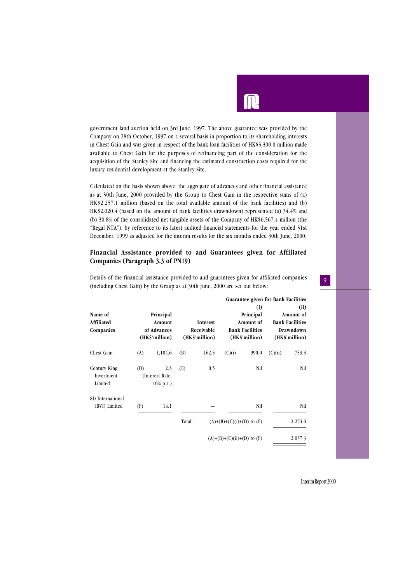government land auction held on 3rd June, 1997. The above guarantee was provided by the Company on 28th October, 1997 on a several basis in proportion to its shareholding interests in Chest Gain and was given in respect of the bank loan facilities of HK\$3,300.0 million made available to Chest Gain for the purposes of refinancing part of the consideration for the acquisition of the Stanley Site and financing the estimated construction costs required for the luxury residential development at the Stanley Site.

Calculated on the basis shown above, the aggregate of advances and other financial assistance as at 30th June, 2000 provided by the Group to Chest Gain in the respective sums of (a) HK\$2,257.1 million (based on the total available amount of the bank facilities) and (b) HK\$2,020.4 (based on the amount of bank facilities drawndown) represented (a) 34.4% and (b) 30.8% of the consolidated net tangible assets of the Company of HK\$6,567.4 million (the "Regal NTA"), by reference to its latest audited financial statements for the year ended 31st December, 1999 as adjusted for the interim results for the six months ended 30th June, 2000.

#### **Financial Assistance provided to and Guarantees given for Affiliated Companies (Paragraph 3.3 of PN19)**

Details of the financial assistance provided to and guarantees given for affiliated companies (including Chest Gain) by the Group as at 30th June, 2000 are set out below:

|                                       |     |                                                      |        |                                          |                                | Guarantee given for Bank Facilities                                       |         |                                                                            |
|---------------------------------------|-----|------------------------------------------------------|--------|------------------------------------------|--------------------------------|---------------------------------------------------------------------------|---------|----------------------------------------------------------------------------|
| Name of<br>Affiliated<br>Companies    |     | Principal<br>Amount<br>of Advances<br>(HK\$'million) |        | Interest<br>Receivable<br>(HK\$'million) |                                | (i)<br>Principal<br>Amount of<br><b>Bank Facilities</b><br>(HK\$'million) |         | (ii)<br>Amount of<br><b>Bank Facilities</b><br>Drawndown<br>(HK\$'million) |
| Chest Gain                            | (A) | 1,104.6                                              | (B)    | 162.5                                    | (C)(i)                         | 990.0                                                                     | (C)(ii) | 753.3                                                                      |
| Century King<br>Investment<br>Limited | (D) | 2.3<br>(Interest Rate:<br>$10\%$ p.a.)               | (E)    | 0.5                                      |                                | Nil                                                                       |         | Nil                                                                        |
| 8D International<br>(BVI) Limited     | (F) | 14.1                                                 |        |                                          |                                | Nil                                                                       |         | Nil                                                                        |
|                                       |     |                                                      | Total: |                                          | $(A)+(B)+(C)(i)+(D)$ to $(F)$  |                                                                           |         | 2,274.0                                                                    |
|                                       |     |                                                      |        |                                          | $(A)+(B)+(C)(ii)+(D)$ to $(F)$ |                                                                           |         | 2,037.3                                                                    |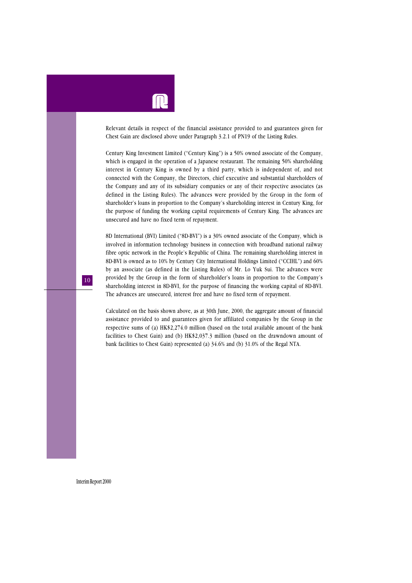

Relevant details in respect of the financial assistance provided to and guarantees given for Chest Gain are disclosed above under Paragraph 3.2.1 of PN19 of the Listing Rules.

Century King Investment Limited ("Century King") is a 50% owned associate of the Company, which is engaged in the operation of a Japanese restaurant. The remaining 50% shareholding interest in Century King is owned by a third party, which is independent of, and not connected with the Company, the Directors, chief executive and substantial shareholders of the Company and any of its subsidiary companies or any of their respective associates (as defined in the Listing Rules). The advances were provided by the Group in the form of shareholder's loans in proportion to the Company's shareholding interest in Century King, for the purpose of funding the working capital requirements of Century King. The advances are unsecured and have no fixed term of repayment.

8D International (BVI) Limited ("8D-BVI") is a 30% owned associate of the Company, which is involved in information technology business in connection with broadband national railway fibre optic network in the People's Republic of China. The remaining shareholding interest in 8D-BVI is owned as to 10% by Century City International Holdings Limited ("CCIHL") and 60% by an associate (as defined in the Listing Rules) of Mr. Lo Yuk Sui. The advances were provided by the Group in the form of shareholder's loans in proportion to the Company's shareholding interest in 8D-BVI, for the purpose of financing the working capital of 8D-BVI. The advances are unsecured, interest free and have no fixed term of repayment.

Calculated on the basis shown above, as at 30th June, 2000, the aggregate amount of financial assistance provided to and guarantees given for affiliated companies by the Group in the respective sums of (a) HK\$2,274.0 million (based on the total available amount of the bank facilities to Chest Gain) and (b) HK\$2,037.3 million (based on the drawndown amount of bank facilities to Chest Gain) represented (a) 34.6% and (b) 31.0% of the Regal NTA.

Interim Report 2000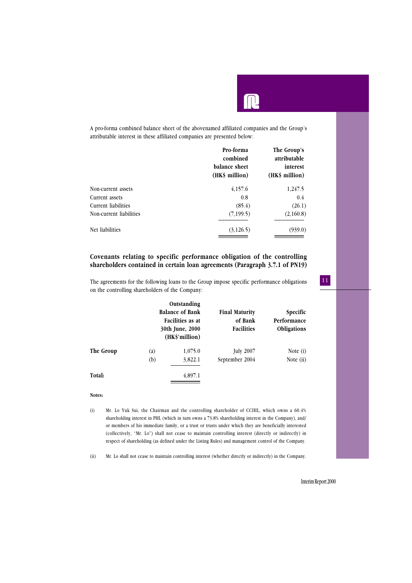A pro-forma combined balance sheet of the abovenamed affiliated companies and the Group's attributable interest in these affiliated companies are presented below:

|                         | Pro-forma<br>combined<br>balance sheet<br>(HK\$ million) | The Group's<br>attributable<br>interest<br>(HK\$ million) |
|-------------------------|----------------------------------------------------------|-----------------------------------------------------------|
| Non-current assets      | 4,157.6                                                  | 1,247.5                                                   |
| Current assets          | 0.8                                                      | 0.4                                                       |
| Current liabilities     | (85.4)                                                   | (26.1)                                                    |
| Non-current liabilities | (7, 199.5)                                               | (2,160.8)                                                 |
| Net liabilities         | (3,126.5)                                                | (939.0)                                                   |

#### **Covenants relating to specific performance obligation of the controlling shareholders contained in certain loan agreements (Paragraph 3.7.1 of PN19)**

The agreements for the following loans to the Group impose specific performance obligations on the controlling shareholders of the Company:

|           | Outstanding<br><b>Balance of Bank</b><br>Facilities as at<br>30th June, 2000<br>(HK\$'million) |         | <b>Final Maturity</b><br>of Bank<br><b>Facilities</b> | Specific<br>Performance<br>Obligations |  |
|-----------|------------------------------------------------------------------------------------------------|---------|-------------------------------------------------------|----------------------------------------|--|
| The Group | $\left( a\right)$                                                                              | 1,075.0 | <b>July 2007</b>                                      | Note (i)                               |  |
|           | (b)                                                                                            | 3,822.1 | September 2004                                        | Note (ii)                              |  |
| Total:    |                                                                                                | 4,897.1 |                                                       |                                        |  |

#### **Notes:**

(i) Mr. Lo Yuk Sui, the Chairman and the controlling shareholder of CCIHL, which owns a 60.4% shareholding interest in PHL (which in turn owns a 73.8% shareholding interest in the Company), and/ or members of his immediate family, or a trust or trusts under which they are beneficially interested (collectively, "Mr. Lo") shall not cease to maintain controlling interest (directly or indirectly) in respect of shareholding (as defined under the Listing Rules) and management control of the Company.

(ii) Mr. Lo shall not cease to maintain controlling interest (whether directly or indirectly) in the Company.

#### Interim Report 2000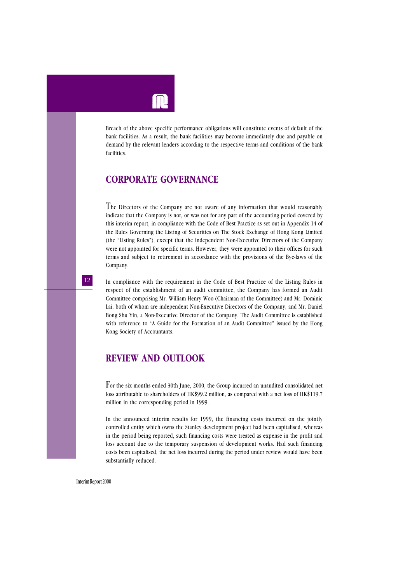Breach of the above specific performance obligations will constitute events of default of the bank facilities. As a result, the bank facilities may become immediately due and payable on demand by the relevant lenders according to the respective terms and conditions of the bank facilities.

### **CORPORATE GOVERNANCE**

The Directors of the Company are not aware of any information that would reasonably indicate that the Company is not, or was not for any part of the accounting period covered by this interim report, in compliance with the Code of Best Practice as set out in Appendix 14 of the Rules Governing the Listing of Securities on The Stock Exchange of Hong Kong Limited (the "Listing Rules"), except that the independent Non-Executive Directors of the Company were not appointed for specific terms. However, they were appointed to their offices for such terms and subject to retirement in accordance with the provisions of the Bye-laws of the Company.

In compliance with the requirement in the Code of Best Practice of the Listing Rules in respect of the establishment of an audit committee, the Company has formed an Audit Committee comprising Mr. William Henry Woo (Chairman of the Committee) and Mr. Dominic Lai, both of whom are independent Non-Executive Directors of the Company, and Mr. Daniel Bong Shu Yin, a Non-Executive Director of the Company. The Audit Committee is established with reference to "A Guide for the Formation of an Audit Committee" issued by the Hong Kong Society of Accountants.

## **REVIEW AND OUTLOOK**

For the six months ended 30th June, 2000, the Group incurred an unaudited consolidated net loss attributable to shareholders of HK\$99.2 million, as compared with a net loss of HK\$119.7 million in the corresponding period in 1999.

In the announced interim results for 1999, the financing costs incurred on the jointly controlled entity which owns the Stanley development project had been capitalised, whereas in the period being reported, such financing costs were treated as expense in the profit and loss account due to the temporary suspension of development works. Had such financing costs been capitalised, the net loss incurred during the period under review would have been substantially reduced.

Interim Report 2000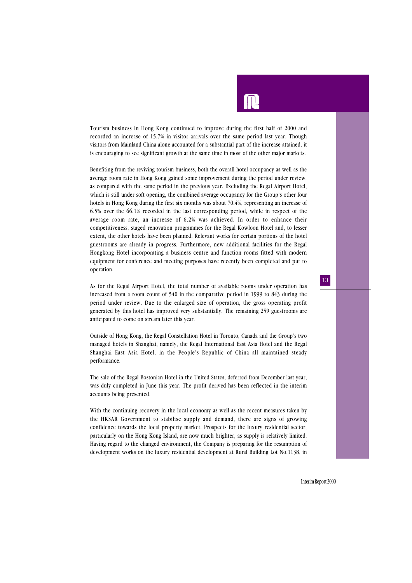Tourism business in Hong Kong continued to improve during the first half of 2000 and recorded an increase of 15.7% in visitor arrivals over the same period last year. Though visitors from Mainland China alone accounted for a substantial part of the increase attained, it is encouraging to see significant growth at the same time in most of the other major markets.

Benefiting from the reviving tourism business, both the overall hotel occupancy as well as the average room rate in Hong Kong gained some improvement during the period under review, as compared with the same period in the previous year. Excluding the Regal Airport Hotel, which is still under soft opening, the combined average occupancy for the Group's other four hotels in Hong Kong during the first six months was about 70.4%, representing an increase of 6.5% over the 66.1% recorded in the last corresponding period, while in respect of the average room rate, an increase of 6.2% was achieved. In order to enhance their competitiveness, staged renovation programmes for the Regal Kowloon Hotel and, to lesser extent, the other hotels have been planned. Relevant works for certain portions of the hotel guestrooms are already in progress. Furthermore, new additional facilities for the Regal Hongkong Hotel incorporating a business centre and function rooms fitted with modern equipment for conference and meeting purposes have recently been completed and put to operation.

As for the Regal Airport Hotel, the total number of available rooms under operation has increased from a room count of 540 in the comparative period in 1999 to 843 during the period under review. Due to the enlarged size of operation, the gross operating profit generated by this hotel has improved very substantially. The remaining 259 guestrooms are anticipated to come on stream later this year.

Outside of Hong Kong, the Regal Constellation Hotel in Toronto, Canada and the Group's two managed hotels in Shanghai, namely, the Regal International East Asia Hotel and the Regal Shanghai East Asia Hotel, in the People's Republic of China all maintained steady performance.

The sale of the Regal Bostonian Hotel in the United States, deferred from December last year, was duly completed in June this year. The profit derived has been reflected in the interim accounts being presented.

With the continuing recovery in the local economy as well as the recent measures taken by the HKSAR Government to stabilise supply and demand, there are signs of growing confidence towards the local property market. Prospects for the luxury residential sector, particularly on the Hong Kong Island, are now much brighter, as supply is relatively limited. Having regard to the changed environment, the Company is preparing for the resumption of development works on the luxury residential development at Rural Building Lot No.1138, in